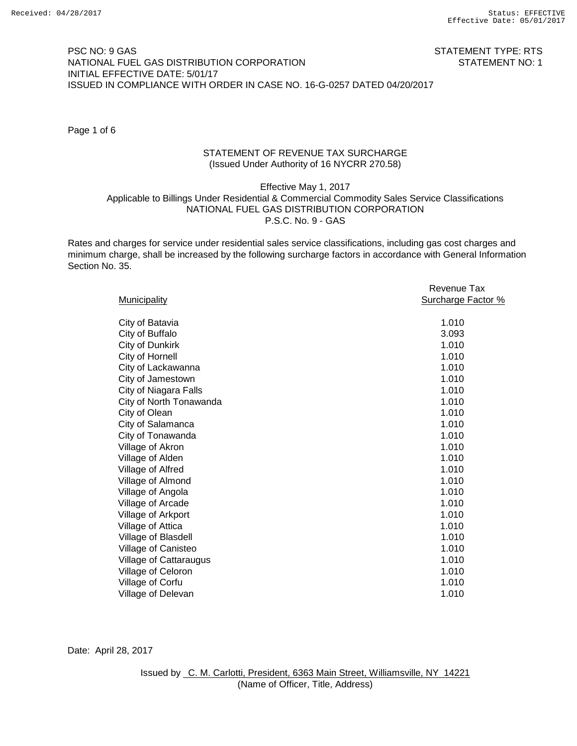### PSC NO: 9 GAS STATEMENT TYPE: RTS NATIONAL FUEL GAS DISTRIBUTION CORPORATION STATEMENT NO: 1 INITIAL EFFECTIVE DATE: 5/01/17 ISSUED IN COMPLIANCE WITH ORDER IN CASE NO. 16-G-0257 DATED 04/20/2017

Page 1 of 6

## STATEMENT OF REVENUE TAX SURCHARGE (Issued Under Authority of 16 NYCRR 270.58)

# Effective May 1, 2017 Applicable to Billings Under Residential & Commercial Commodity Sales Service Classifications NATIONAL FUEL GAS DISTRIBUTION CORPORATION P.S.C. No. 9 - GAS

Rates and charges for service under residential sales service classifications, including gas cost charges and minimum charge, shall be increased by the following surcharge factors in accordance with General Information Section No. 35.

|                         | Revenue Tax               |
|-------------------------|---------------------------|
| <b>Municipality</b>     | <b>Surcharge Factor %</b> |
|                         |                           |
| City of Batavia         | 1.010                     |
| City of Buffalo         | 3.093                     |
| City of Dunkirk         | 1.010                     |
| City of Hornell         | 1.010                     |
| City of Lackawanna      | 1.010                     |
| City of Jamestown       | 1.010                     |
| City of Niagara Falls   | 1.010                     |
| City of North Tonawanda | 1.010                     |
| City of Olean           | 1.010                     |
| City of Salamanca       | 1.010                     |
| City of Tonawanda       | 1.010                     |
| Village of Akron        | 1.010                     |
| Village of Alden        | 1.010                     |
| Village of Alfred       | 1.010                     |
| Village of Almond       | 1.010                     |
| Village of Angola       | 1.010                     |
| Village of Arcade       | 1.010                     |
| Village of Arkport      | 1.010                     |
| Village of Attica       | 1.010                     |
| Village of Blasdell     | 1.010                     |
| Village of Canisteo     | 1.010                     |
| Village of Cattaraugus  | 1.010                     |
| Village of Celoron      | 1.010                     |
| Village of Corfu        | 1.010                     |
| Village of Delevan      | 1.010                     |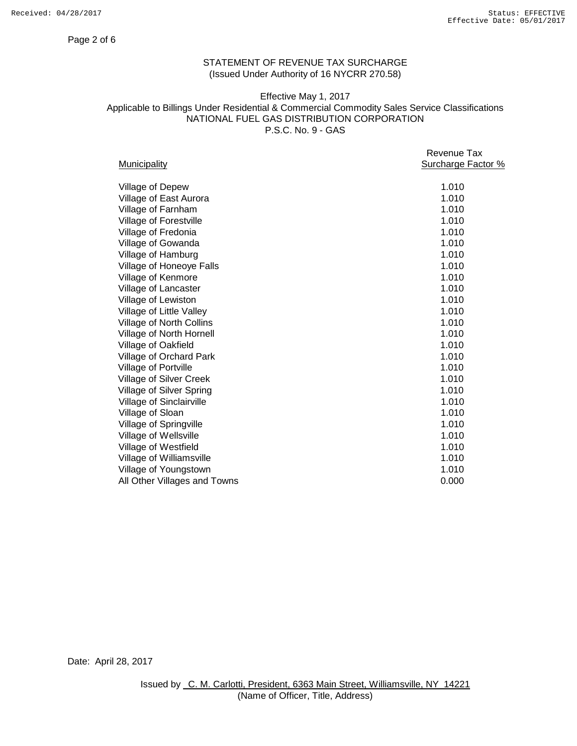#### Page 2 of 6

# STATEMENT OF REVENUE TAX SURCHARGE (Issued Under Authority of 16 NYCRR 270.58)

### Effective May 1, 2017 Applicable to Billings Under Residential & Commercial Commodity Sales Service Classifications NATIONAL FUEL GAS DISTRIBUTION CORPORATION P.S.C. No. 9 - GAS

| Revenue Tax<br>Surcharge Factor % |
|-----------------------------------|
|                                   |
| 1.010                             |
| 1.010                             |
| 1.010                             |
| 1.010                             |
| 1.010                             |
| 1.010                             |
| 1.010                             |
| 1.010                             |
| 1.010                             |
| 1.010                             |
| 1.010                             |
| 1.010                             |
| 1.010                             |
| 1.010                             |
| 1.010                             |
| 1.010                             |
| 1.010                             |
| 1.010                             |
| 1.010                             |
| 1.010                             |
| 1.010                             |
| 1.010                             |
| 1.010                             |
| 1.010                             |
| 1.010                             |
| 0.000                             |
|                                   |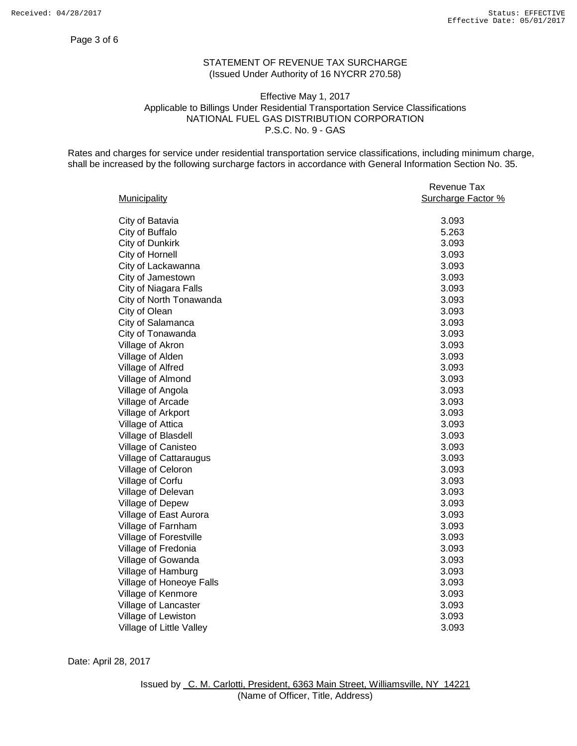### Page 3 of 6

# STATEMENT OF REVENUE TAX SURCHARGE (Issued Under Authority of 16 NYCRR 270.58)

## Effective May 1, 2017 Applicable to Billings Under Residential Transportation Service Classifications NATIONAL FUEL GAS DISTRIBUTION CORPORATION P.S.C. No. 9 - GAS

Rates and charges for service under residential transportation service classifications, including minimum charge, shall be increased by the following surcharge factors in accordance with General Information Section No. 35.

|                          | Revenue Tax        |
|--------------------------|--------------------|
| Municipality             | Surcharge Factor % |
|                          |                    |
| City of Batavia          | 3.093              |
| City of Buffalo          | 5.263              |
| City of Dunkirk          | 3.093              |
| City of Hornell          | 3.093              |
| City of Lackawanna       | 3.093              |
| City of Jamestown        | 3.093              |
| City of Niagara Falls    | 3.093              |
| City of North Tonawanda  | 3.093              |
| City of Olean            | 3.093              |
| City of Salamanca        | 3.093              |
| City of Tonawanda        | 3.093              |
| Village of Akron         | 3.093              |
| Village of Alden         | 3.093              |
| Village of Alfred        | 3.093              |
| Village of Almond        | 3.093              |
| Village of Angola        | 3.093              |
| Village of Arcade        | 3.093              |
| Village of Arkport       | 3.093              |
| Village of Attica        | 3.093              |
| Village of Blasdell      | 3.093              |
| Village of Canisteo      | 3.093              |
| Village of Cattaraugus   | 3.093              |
| Village of Celoron       | 3.093              |
| Village of Corfu         | 3.093              |
| Village of Delevan       | 3.093              |
| Village of Depew         | 3.093              |
| Village of East Aurora   | 3.093              |
| Village of Farnham       | 3.093              |
| Village of Forestville   | 3.093              |
| Village of Fredonia      | 3.093              |
| Village of Gowanda       | 3.093              |
| Village of Hamburg       | 3.093              |
| Village of Honeoye Falls | 3.093              |
| Village of Kenmore       | 3.093              |
| Village of Lancaster     | 3.093              |
| Village of Lewiston      | 3.093              |
| Village of Little Valley | 3.093              |
|                          |                    |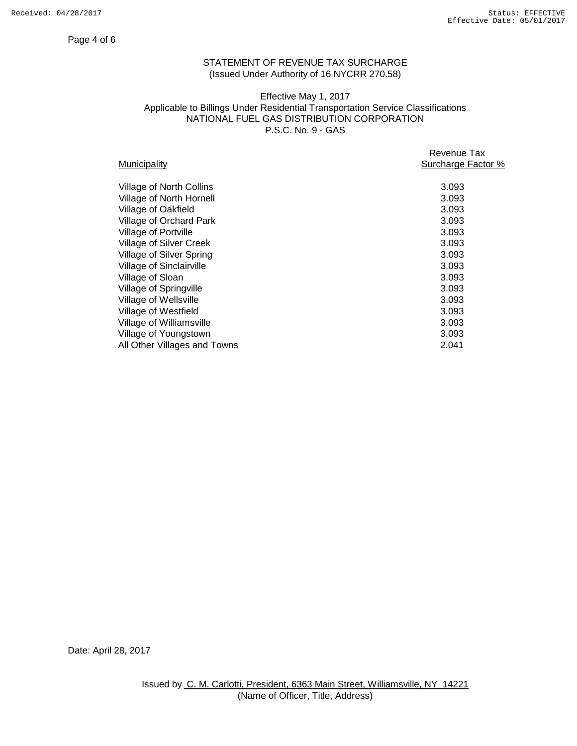#### Page 4 of 6

# STATEMENT OF REVENUE TAX SURCHARGE (Issued Under Authority of 16 NYCRR 270.58)

## Effective May 1, 2017 Applicable to Billings Under Residential Transportation Service Classifications NATIONAL FUEL GAS DISTRIBUTION CORPORATION P.S.C. No. 9 - GAS

|                                 | Revenue Tax        |
|---------------------------------|--------------------|
| <b>Municipality</b>             | Surcharge Factor % |
| <b>Village of North Collins</b> | 3.093              |
| Village of North Hornell        | 3.093              |
| Village of Oakfield             | 3.093              |
| <b>Village of Orchard Park</b>  | 3.093              |
| Village of Portville            | 3.093              |
| <b>Village of Silver Creek</b>  | 3.093              |
| Village of Silver Spring        | 3.093              |
| Village of Sinclairville        | 3.093              |
| Village of Sloan                | 3.093              |
| Village of Springville          | 3.093              |
| Village of Wellsville           | 3.093              |
| Village of Westfield            | 3.093              |
| Village of Williamsville        | 3.093              |
| Village of Youngstown           | 3.093              |
| All Other Villages and Towns    | 2.041              |
|                                 |                    |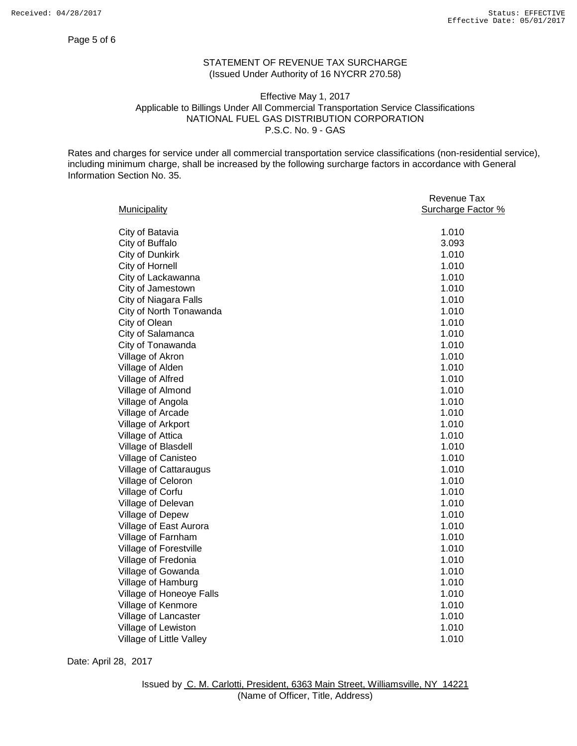#### Page 5 of 6

# STATEMENT OF REVENUE TAX SURCHARGE (Issued Under Authority of 16 NYCRR 270.58)

### Effective May 1, 2017 Applicable to Billings Under All Commercial Transportation Service Classifications NATIONAL FUEL GAS DISTRIBUTION CORPORATION P.S.C. No. 9 - GAS

Rates and charges for service under all commercial transportation service classifications (non-residential service), including minimum charge, shall be increased by the following surcharge factors in accordance with General Information Section No. 35.

|                          | Revenue Tax        |
|--------------------------|--------------------|
| Municipality             | Surcharge Factor % |
|                          |                    |
| City of Batavia          | 1.010              |
| City of Buffalo          | 3.093              |
| City of Dunkirk          | 1.010              |
| City of Hornell          | 1.010              |
| City of Lackawanna       | 1.010              |
| City of Jamestown        | 1.010              |
| City of Niagara Falls    | 1.010              |
| City of North Tonawanda  | 1.010              |
| City of Olean            | 1.010              |
| City of Salamanca        | 1.010              |
| City of Tonawanda        | 1.010              |
| Village of Akron         | 1.010              |
| Village of Alden         | 1.010              |
| Village of Alfred        | 1.010              |
| Village of Almond        | 1.010              |
| Village of Angola        | 1.010              |
| Village of Arcade        | 1.010              |
| Village of Arkport       | 1.010              |
| Village of Attica        | 1.010              |
| Village of Blasdell      | 1.010              |
| Village of Canisteo      | 1.010              |
| Village of Cattaraugus   | 1.010              |
| Village of Celoron       | 1.010              |
| Village of Corfu         | 1.010              |
| Village of Delevan       | 1.010              |
| Village of Depew         | 1.010              |
| Village of East Aurora   | 1.010              |
| Village of Farnham       | 1.010              |
| Village of Forestville   | 1.010              |
| Village of Fredonia      | 1.010              |
| Village of Gowanda       | 1.010              |
| Village of Hamburg       | 1.010              |
| Village of Honeoye Falls | 1.010              |
| Village of Kenmore       | 1.010              |
| Village of Lancaster     | 1.010              |
| Village of Lewiston      | 1.010              |
| Village of Little Valley | 1.010              |